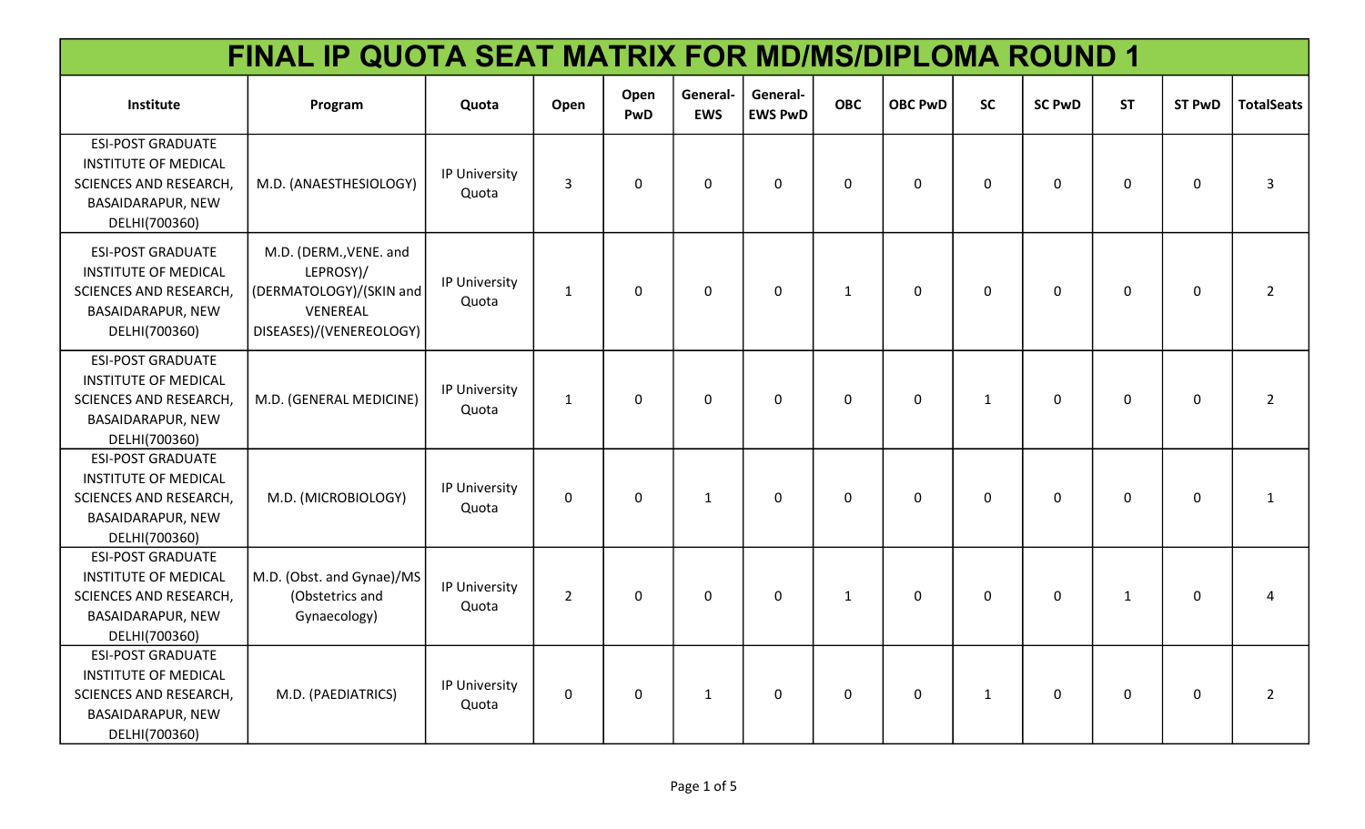| FINAL IP QUOTA SEAT MATRIX FOR MD/MS/DIPLOMA ROUND 1                                                                           |                                                                                                       |                        |                |              |                        |                            |              |                |              |               |              |               |                   |
|--------------------------------------------------------------------------------------------------------------------------------|-------------------------------------------------------------------------------------------------------|------------------------|----------------|--------------|------------------------|----------------------------|--------------|----------------|--------------|---------------|--------------|---------------|-------------------|
| Institute                                                                                                                      | Program                                                                                               | Quota                  | Open           | Open<br>PwD  | General-<br><b>EWS</b> | General-<br><b>EWS PwD</b> | <b>OBC</b>   | <b>OBC PwD</b> | <b>SC</b>    | <b>SC PwD</b> | <b>ST</b>    | <b>ST PwD</b> | <b>TotalSeats</b> |
| <b>ESI-POST GRADUATE</b><br><b>INSTITUTE OF MEDICAL</b><br>SCIENCES AND RESEARCH,<br>BASAIDARAPUR, NEW<br>DELHI(700360)        | M.D. (ANAESTHESIOLOGY)                                                                                | IP University<br>Quota | 3              | $\mathbf 0$  | $\mathbf 0$            | $\mathbf 0$                | $\mathbf 0$  | $\mathbf 0$    | $\mathbf 0$  | $\mathbf 0$   | $\Omega$     | 0             | 3                 |
| <b>ESI-POST GRADUATE</b><br><b>INSTITUTE OF MEDICAL</b><br><b>SCIENCES AND RESEARCH,</b><br>BASAIDARAPUR, NEW<br>DELHI(700360) | M.D. (DERM., VENE. and<br>LEPROSY)/<br>(DERMATOLOGY)/(SKIN and<br>VENEREAL<br>DISEASES)/(VENEREOLOGY) | IP University<br>Quota | $\mathbf{1}$   | $\mathbf 0$  | $\mathbf 0$            | $\mathbf 0$                | $\mathbf{1}$ | $\mathbf 0$    | $\mathsf{O}$ | $\mathbf 0$   | 0            | 0             | $2^{\circ}$       |
| <b>ESI-POST GRADUATE</b><br><b>INSTITUTE OF MEDICAL</b><br>SCIENCES AND RESEARCH,<br>BASAIDARAPUR, NEW<br>DELHI(700360)        | M.D. (GENERAL MEDICINE)                                                                               | IP University<br>Quota | $\mathbf{1}$   | $\mathbf 0$  | $\mathbf 0$            | $\mathbf 0$                | $\mathbf 0$  | $\mathbf 0$    | $\mathbf{1}$ | $\mathbf 0$   | $\Omega$     | $\mathbf 0$   | $2^{\circ}$       |
| <b>ESI-POST GRADUATE</b><br><b>INSTITUTE OF MEDICAL</b><br>SCIENCES AND RESEARCH,<br>BASAIDARAPUR, NEW<br>DELHI(700360)        | M.D. (MICROBIOLOGY)                                                                                   | IP University<br>Quota | $\mathbf 0$    | $\mathbf{0}$ | $\mathbf{1}$           | $\Omega$                   | $\mathbf 0$  | $\Omega$       | $\mathbf 0$  | $\mathbf{0}$  | $\Omega$     | $\mathbf 0$   | $\mathbf{1}$      |
| <b>ESI-POST GRADUATE</b><br><b>INSTITUTE OF MEDICAL</b><br>SCIENCES AND RESEARCH,<br>BASAIDARAPUR, NEW<br>DELHI(700360)        | M.D. (Obst. and Gynae)/MS<br>(Obstetrics and<br>Gynaecology)                                          | IP University<br>Quota | $\overline{2}$ | $\mathbf 0$  | $\Omega$               | $\Omega$                   | $\mathbf{1}$ | $\mathbf 0$    | $\mathbf 0$  | $\mathbf 0$   | $\mathbf{1}$ | $\mathbf 0$   | 4                 |
| <b>ESI-POST GRADUATE</b><br><b>INSTITUTE OF MEDICAL</b><br>SCIENCES AND RESEARCH,<br>BASAIDARAPUR, NEW<br>DELHI(700360)        | M.D. (PAEDIATRICS)                                                                                    | IP University<br>Quota | $\mathbf 0$    | $\mathbf 0$  | $\mathbf{1}$           | 0                          | $\mathbf 0$  | 0              | $\mathbf{1}$ | $\mathbf 0$   | 0            | 0             | $2^{\circ}$       |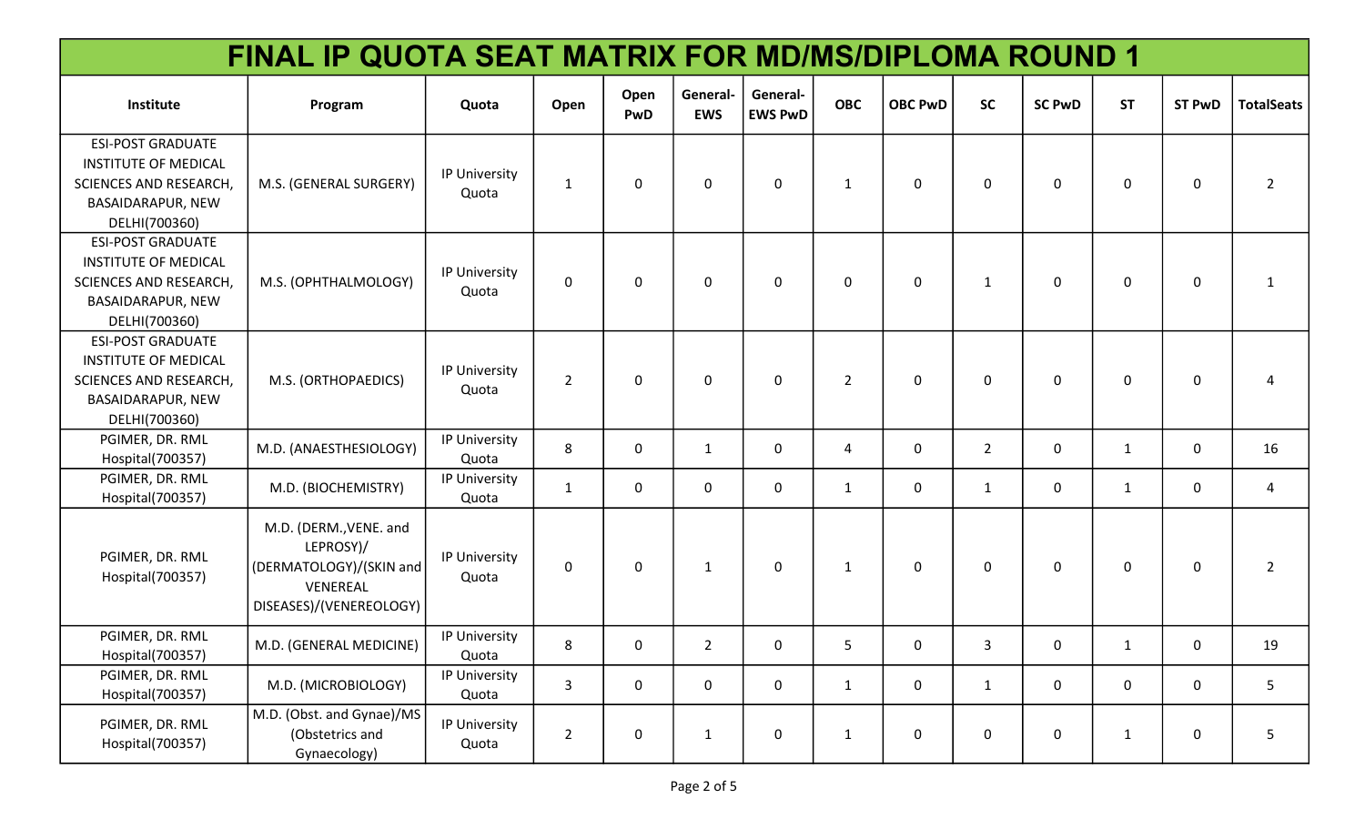| FINAL IP QUOTA SEAT MATRIX FOR MD/MS/DIPLOMA ROUND 1                                                                                  |                                                                                                       |                        |                |                    |                        |                            |                |                |                |                |              |               |                   |
|---------------------------------------------------------------------------------------------------------------------------------------|-------------------------------------------------------------------------------------------------------|------------------------|----------------|--------------------|------------------------|----------------------------|----------------|----------------|----------------|----------------|--------------|---------------|-------------------|
| Institute                                                                                                                             | Program                                                                                               | Quota                  | Open           | Open<br><b>PwD</b> | General-<br><b>EWS</b> | General-<br><b>EWS PwD</b> | <b>OBC</b>     | <b>OBC PwD</b> | <b>SC</b>      | <b>SC PwD</b>  | <b>ST</b>    | <b>ST PwD</b> | <b>TotalSeats</b> |
| <b>ESI-POST GRADUATE</b><br><b>INSTITUTE OF MEDICAL</b><br>SCIENCES AND RESEARCH,<br>BASAIDARAPUR, NEW<br>DELHI(700360)               | M.S. (GENERAL SURGERY)                                                                                | IP University<br>Quota | $\mathbf{1}$   | $\mathbf 0$        | 0                      | 0                          | 1              | $\mathbf 0$    | 0              | $\mathbf 0$    | 0            | 0             | $\overline{2}$    |
| <b>ESI-POST GRADUATE</b><br><b>INSTITUTE OF MEDICAL</b><br>SCIENCES AND RESEARCH,<br>BASAIDARAPUR, NEW<br>DELHI(700360)               | M.S. (OPHTHALMOLOGY)                                                                                  | IP University<br>Quota | 0              | $\mathbf 0$        | $\mathbf{0}$           | 0                          | $\mathbf 0$    | $\mathbf 0$    | $\mathbf{1}$   | $\mathbf 0$    | 0            | 0             | $\mathbf{1}$      |
| <b>ESI-POST GRADUATE</b><br><b>INSTITUTE OF MEDICAL</b><br><b>SCIENCES AND RESEARCH,</b><br><b>BASAIDARAPUR, NEW</b><br>DELHI(700360) | M.S. (ORTHOPAEDICS)                                                                                   | IP University<br>Quota | $\overline{2}$ | 0                  | $\mathbf{0}$           | 0                          | $\overline{2}$ | $\mathbf 0$    | 0              | $\mathbf{0}$   | 0            | 0             | 4                 |
| PGIMER, DR. RML<br>Hospital(700357)                                                                                                   | M.D. (ANAESTHESIOLOGY)                                                                                | IP University<br>Quota | 8              | 0                  | 1                      | 0                          | 4              | 0              | $\overline{2}$ | 0              | 1            | 0             | 16                |
| PGIMER, DR. RML<br>Hospital(700357)                                                                                                   | M.D. (BIOCHEMISTRY)                                                                                   | IP University<br>Quota | $\mathbf{1}$   | $\mathbf 0$        | 0                      | 0                          | $\mathbf{1}$   | 0              | $\mathbf{1}$   | $\mathbf 0$    | $\mathbf{1}$ | 0             | 4                 |
| PGIMER, DR. RML<br>Hospital(700357)                                                                                                   | M.D. (DERM., VENE. and<br>LEPROSY)/<br>(DERMATOLOGY)/(SKIN and<br>VENEREAL<br>DISEASES)/(VENEREOLOGY) | IP University<br>Quota | 0              | 0                  | 1                      | 0                          | $\mathbf{1}$   | $\mathbf 0$    | $\mathbf 0$    | $\mathbf 0$    | 0            | 0             | $2^{\circ}$       |
| PGIMER, DR. RML<br>Hospital(700357)                                                                                                   | M.D. (GENERAL MEDICINE)                                                                               | IP University<br>Quota | 8              | $\overline{0}$     | 2 <sup>2</sup>         | $\mathbf 0$                | 5              | 0              | 3              | $\overline{0}$ | $\mathbf{1}$ | 0             | 19                |
| PGIMER, DR. RML<br>Hospital(700357)                                                                                                   | M.D. (MICROBIOLOGY)                                                                                   | IP University<br>Quota | 3              | $\mathbf 0$        | $\mathbf 0$            | $\mathbf 0$                | $\mathbf{1}$   | 0              | $\mathbf 1$    | $\mathbf 0$    | $\mathbf 0$  | 0             | 5                 |
| PGIMER, DR. RML<br>Hospital(700357)                                                                                                   | M.D. (Obst. and Gynae)/MS<br>(Obstetrics and<br>Gynaecology)                                          | IP University<br>Quota | $\overline{2}$ | $\mathbf 0$        | $\mathbf{1}$           | 0                          | $\mathbf{1}$   | $\mathbf 0$    | 0              | $\pmb{0}$      | $\mathbf{1}$ | 0             | 5                 |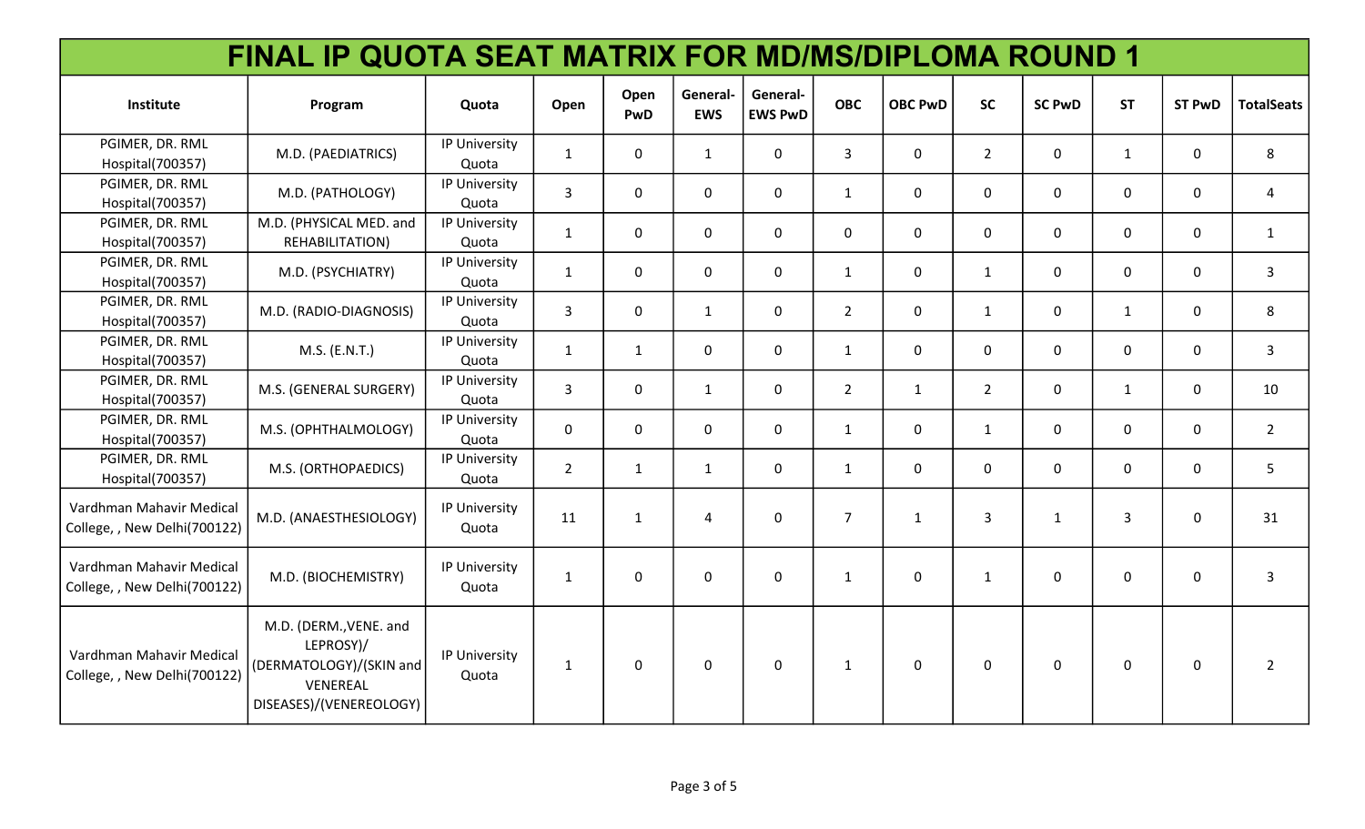| FINAL IP QUOTA SEAT MATRIX FOR MD/MS/DIPLOMA ROUND 1     |                                                                                                       |                        |                |                    |                       |                            |                |                |                |               |              |               |                   |
|----------------------------------------------------------|-------------------------------------------------------------------------------------------------------|------------------------|----------------|--------------------|-----------------------|----------------------------|----------------|----------------|----------------|---------------|--------------|---------------|-------------------|
| Institute                                                | Program                                                                                               | Quota                  | Open           | Open<br><b>PwD</b> | General<br><b>EWS</b> | General-<br><b>EWS PwD</b> | <b>OBC</b>     | <b>OBC PwD</b> | <b>SC</b>      | <b>SC PwD</b> | <b>ST</b>    | <b>ST PwD</b> | <b>TotalSeats</b> |
| PGIMER, DR. RML<br>Hospital(700357)                      | M.D. (PAEDIATRICS)                                                                                    | IP University<br>Quota | $\mathbf{1}$   | $\mathbf 0$        | 1                     | $\mathbf 0$                | $\overline{3}$ | $\overline{0}$ | $\overline{2}$ | $\mathbf 0$   | $\mathbf{1}$ | $\mathbf 0$   | 8                 |
| PGIMER, DR. RML<br>Hospital(700357)                      | M.D. (PATHOLOGY)                                                                                      | IP University<br>Quota | $\overline{3}$ | $\mathbf 0$        | $\mathbf 0$           | $\mathbf 0$                | $\mathbf{1}$   | 0              | $\mathbf 0$    | $\mathbf 0$   | $\mathbf 0$  | $\mathbf 0$   | 4                 |
| PGIMER, DR. RML<br>Hospital(700357)                      | M.D. (PHYSICAL MED. and<br>REHABILITATION)                                                            | IP University<br>Quota | $\mathbf{1}$   | $\mathbf 0$        | $\mathbf 0$           | $\mathbf 0$                | $\mathbf 0$    | $\mathbf 0$    | $\mathbf 0$    | $\mathbf 0$   | $\mathbf 0$  | $\mathbf 0$   | $\mathbf{1}$      |
| PGIMER, DR. RML<br>Hospital(700357)                      | M.D. (PSYCHIATRY)                                                                                     | IP University<br>Quota | $\mathbf{1}$   | $\mathbf 0$        | $\mathbf 0$           | $\mathbf 0$                | $\mathbf{1}$   | $\mathbf{0}$   | $\mathbf{1}$   | $\mathbf 0$   | $\mathbf{0}$ | $\mathbf 0$   | $\mathbf{3}$      |
| PGIMER, DR. RML<br>Hospital(700357)                      | M.D. (RADIO-DIAGNOSIS)                                                                                | IP University<br>Quota | $\overline{3}$ | $\mathbf 0$        | 1                     | $\mathbf 0$                | $\overline{2}$ | $\mathbf 0$    | $\mathbf{1}$   | $\mathbf 0$   | $\mathbf{1}$ | $\mathbf 0$   | 8                 |
| PGIMER, DR. RML<br>Hospital(700357)                      | M.S. (E.N.T.)                                                                                         | IP University<br>Quota | $\mathbf{1}$   | $\mathbf{1}$       | $\mathsf{O}$          | 0                          | $\mathbf{1}$   | $\mathsf{O}$   | $\mathbf 0$    | 0             | $\mathbf{0}$ | 0             | $\mathbf{3}$      |
| PGIMER, DR. RML<br>Hospital(700357)                      | M.S. (GENERAL SURGERY)                                                                                | IP University<br>Quota | $\overline{3}$ | $\mathbf 0$        | 1                     | $\mathbf 0$                | $\overline{2}$ | 1              | $\overline{2}$ | $\mathbf 0$   | 1            | $\mathbf 0$   | 10                |
| PGIMER, DR. RML<br>Hospital(700357)                      | M.S. (OPHTHALMOLOGY)                                                                                  | IP University<br>Quota | $\mathbf 0$    | $\mathbf 0$        | $\mathbf 0$           | $\mathbf 0$                | $\mathbf{1}$   | $\mathbf 0$    | $\mathbf{1}$   | $\mathbf 0$   | $\mathbf 0$  | $\mathbf 0$   | $\overline{2}$    |
| PGIMER, DR. RML<br>Hospital(700357)                      | M.S. (ORTHOPAEDICS)                                                                                   | IP University<br>Quota | $\overline{2}$ | $\mathbf{1}$       | $\mathbf{1}$          | $\mathbf 0$                | $\mathbf{1}$   | 0              | $\mathbf 0$    | $\mathbf 0$   | $\mathbf{0}$ | $\mathbf 0$   | 5                 |
| Vardhman Mahavir Medical<br>College, , New Delhi(700122) | M.D. (ANAESTHESIOLOGY)                                                                                | IP University<br>Quota | 11             | $\mathbf{1}$       | 4                     | $\Omega$                   | $\overline{7}$ | $\mathbf{1}$   | 3              | $\mathbf{1}$  | 3            | $\Omega$      | 31                |
| Vardhman Mahavir Medical<br>College, , New Delhi(700122) | M.D. (BIOCHEMISTRY)                                                                                   | IP University<br>Quota | $\mathbf{1}$   | $\Omega$           | $\Omega$              | $\Omega$                   | $\mathbf{1}$   | $\mathbf 0$    | $\mathbf{1}$   | $\mathbf 0$   | $\mathbf 0$  | $\mathbf 0$   | $\mathbf{3}$      |
| Vardhman Mahavir Medical<br>College, , New Delhi(700122) | M.D. (DERM., VENE. and<br>LEPROSY)/<br>(DERMATOLOGY)/(SKIN and<br>VENEREAL<br>DISEASES)/(VENEREOLOGY) | IP University<br>Quota | $\mathbf{1}$   | $\mathbf 0$        | $\Omega$              | $\mathbf 0$                | $\mathbf{1}$   | $\mathsf{O}$   | $\mathbf 0$    | $\mathbf 0$   | $\mathbf 0$  | $\mathbf 0$   | $\overline{2}$    |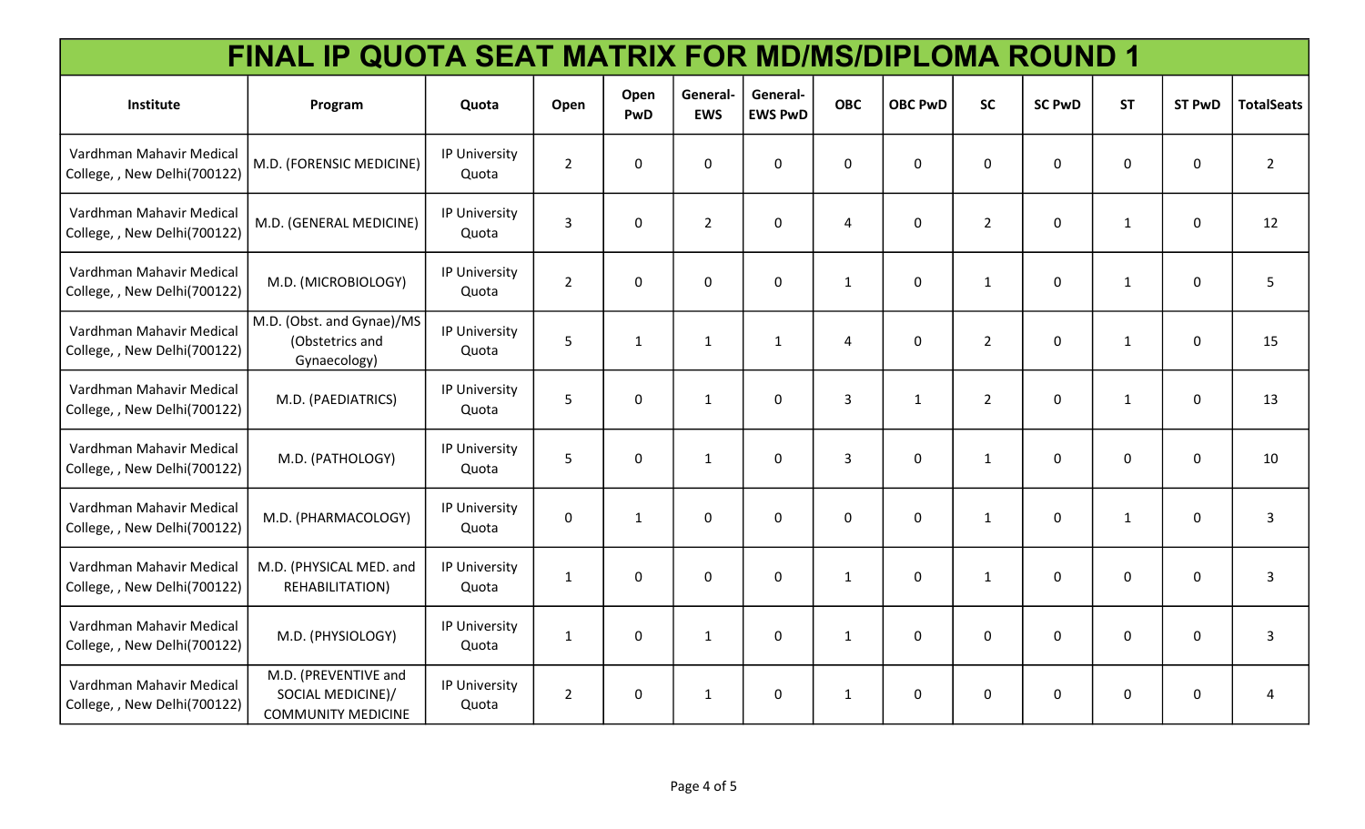| FINAL IP QUOTA SEAT MATRIX FOR MD/MS/DIPLOMA ROUND 1     |                                                                        |                        |                |              |                        |                            |                |                |                |                  |              |               |                   |
|----------------------------------------------------------|------------------------------------------------------------------------|------------------------|----------------|--------------|------------------------|----------------------------|----------------|----------------|----------------|------------------|--------------|---------------|-------------------|
| Institute                                                | Program                                                                | Quota                  | Open           | Open<br>PwD  | General-<br><b>EWS</b> | General-<br><b>EWS PwD</b> | <b>OBC</b>     | <b>OBC PwD</b> | <b>SC</b>      | <b>SC PwD</b>    | <b>ST</b>    | <b>ST PwD</b> | <b>TotalSeats</b> |
| Vardhman Mahavir Medical<br>College, , New Delhi(700122) | M.D. (FORENSIC MEDICINE)                                               | IP University<br>Quota | $\overline{2}$ | $\mathbf 0$  | $\mathbf 0$            | $\mathbf 0$                | $\mathbf 0$    | $\mathbf 0$    | $\mathbf 0$    | $\mathbf 0$      | 0            | 0             | $2^{\circ}$       |
| Vardhman Mahavir Medical<br>College, , New Delhi(700122) | M.D. (GENERAL MEDICINE)                                                | IP University<br>Quota | 3              | $\mathbf 0$  | $\overline{2}$         | $\mathbf 0$                | $\overline{4}$ | $\mathbf 0$    | $\overline{2}$ | $\mathbf 0$      | 1            | 0             | 12                |
| Vardhman Mahavir Medical<br>College, , New Delhi(700122) | M.D. (MICROBIOLOGY)                                                    | IP University<br>Quota | $\overline{2}$ | $\mathbf 0$  | $\mathbf 0$            | $\mathbf 0$                | $\mathbf{1}$   | 0              | $\mathbf{1}$   | $\mathbf 0$      | $\mathbf{1}$ | $\mathbf 0$   | 5                 |
| Vardhman Mahavir Medical<br>College, , New Delhi(700122) | M.D. (Obst. and Gynae)/MS<br>(Obstetrics and<br>Gynaecology)           | IP University<br>Quota | 5              | $\mathbf{1}$ | $\mathbf{1}$           | $\mathbf{1}$               | 4              | 0              | $\overline{2}$ | $\mathbf 0$      | $\mathbf{1}$ | $\mathbf 0$   | 15                |
| Vardhman Mahavir Medical<br>College, , New Delhi(700122) | M.D. (PAEDIATRICS)                                                     | IP University<br>Quota | 5              | $\mathbf 0$  | $\mathbf{1}$           | $\mathbf 0$                | $\overline{3}$ | $\mathbf{1}$   | $\overline{2}$ | $\mathbf 0$      | $\mathbf{1}$ | 0             | 13                |
| Vardhman Mahavir Medical<br>College, , New Delhi(700122) | M.D. (PATHOLOGY)                                                       | IP University<br>Quota | 5              | $\mathbf 0$  | $\mathbf{1}$           | 0                          | $\overline{3}$ | 0              | $\mathbf{1}$   | $\mathbf 0$      | 0            | $\mathbf 0$   | 10                |
| Vardhman Mahavir Medical<br>College, , New Delhi(700122) | M.D. (PHARMACOLOGY)                                                    | IP University<br>Quota | $\mathbf 0$    | $\mathbf{1}$ | $\mathbf 0$            | $\mathbf 0$                | $\mathbf 0$    | $\mathbf 0$    | $\mathbf{1}$   | $\boldsymbol{0}$ | $\mathbf{1}$ | 0             | $\mathbf{3}$      |
| Vardhman Mahavir Medical<br>College, , New Delhi(700122) | M.D. (PHYSICAL MED. and<br>REHABILITATION)                             | IP University<br>Quota | $\mathbf{1}$   | $\mathbf 0$  | 0                      | 0                          | $\mathbf{1}$   | $\mathbf 0$    | $\mathbf{1}$   | $\mathbf 0$      | 0            | 0             | $\mathbf{3}$      |
| Vardhman Mahavir Medical<br>College, , New Delhi(700122) | M.D. (PHYSIOLOGY)                                                      | IP University<br>Quota | $\mathbf{1}$   | $\mathbf 0$  | $\mathbf{1}$           | 0                          | $\mathbf{1}$   | $\mathbf 0$    | 0              | $\mathbf 0$      | 0            | 0             | 3                 |
| Vardhman Mahavir Medical<br>College, , New Delhi(700122) | M.D. (PREVENTIVE and<br>SOCIAL MEDICINE)/<br><b>COMMUNITY MEDICINE</b> | IP University<br>Quota | $\overline{2}$ | $\pmb{0}$    | $\mathbf{1}$           | 0                          | $\mathbf{1}$   | 0              | 0              | $\mathbf 0$      | 0            | $\mathbf 0$   | 4                 |